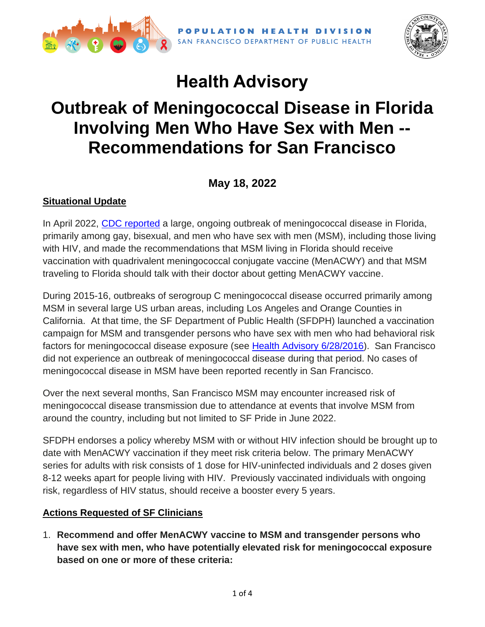

SAN FRANCISCO DEPARTMENT OF PUBLIC HEALTH



# **Health Advisory**

# **Outbreak of Meningococcal Disease in Florida Involving Men Who Have Sex with Men -- Recommendations for San Francisco**

## **May 18, 2022**

### **Situational Update**

In April 2022, [CDC reported](https://www.cdc.gov/meningococcal/outbreaks/FL2022.html) a large, ongoing outbreak of meningococcal disease in Florida, primarily among gay, bisexual, and men who have sex with men (MSM), including those living with HIV, and made the recommendations that MSM living in Florida should receive vaccination with quadrivalent meningococcal conjugate vaccine (MenACWY) and that MSM traveling to Florida should talk with their doctor about getting MenACWY vaccine.

During 2015-16, outbreaks of serogroup C meningococcal disease occurred primarily among MSM in several large US urban areas, including Los Angeles and Orange Counties in California. At that time, the SF Department of Public Health (SFDPH) launched a vaccination campaign for MSM and transgender persons who have sex with men who had behavioral risk factors for meningococcal disease exposure (see [Health Advisory 6/28/2016\)](https://www.sfcdcp.org/wp-content/uploads/2017/12/Mening_vaccine_HIV-MSM_FINAL_2016_6_28.pdf). San Francisco did not experience an outbreak of meningococcal disease during that period. No cases of meningococcal disease in MSM have been reported recently in San Francisco.

Over the next several months, San Francisco MSM may encounter increased risk of meningococcal disease transmission due to attendance at events that involve MSM from around the country, including but not limited to SF Pride in June 2022.

SFDPH endorses a policy whereby MSM with or without HIV infection should be brought up to date with MenACWY vaccination if they meet risk criteria below. The primary MenACWY series for adults with risk consists of 1 dose for HIV-uninfected individuals and 2 doses given 8-12 weeks apart for people living with HIV. Previously vaccinated individuals with ongoing risk, regardless of HIV status, should receive a booster every 5 years.

#### **Actions Requested of SF Clinicians**

1. **Recommend and offer MenACWY vaccine to MSM and transgender persons who have sex with men, who have potentially elevated risk for meningococcal exposure based on one or more of these criteria:**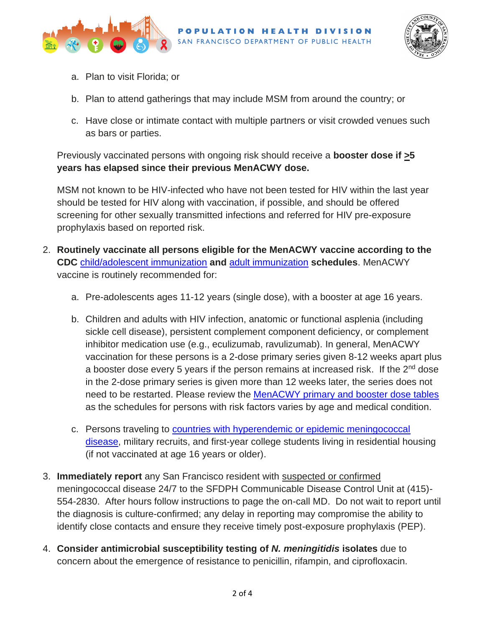



- a. Plan to visit Florida; or
- b. Plan to attend gatherings that may include MSM from around the country; or
- c. Have close or intimate contact with multiple partners or visit crowded venues such as bars or parties.

Previously vaccinated persons with ongoing risk should receive a **booster dose if >5 years has elapsed since their previous MenACWY dose.** 

MSM not known to be HIV-infected who have not been tested for HIV within the last year should be tested for HIV along with vaccination, if possible, and should be offered screening for other sexually transmitted infections and referred for HIV pre-exposure prophylaxis based on reported risk.

- 2. **Routinely vaccinate all persons eligible for the MenACWY vaccine according to the CDC** [child/adolescent immunization](https://www.cdc.gov/vaccines/schedules/hcp/imz/child-adolescent.html) **and** [adult immunization](https://www.cdc.gov/vaccines/schedules/hcp/imz/adult.html) **schedules**. MenACWY vaccine is routinely recommended for:
	- a. Pre-adolescents ages 11-12 years (single dose), with a booster at age 16 years.
	- b. Children and adults with HIV infection, anatomic or functional asplenia (including sickle cell disease), persistent complement component deficiency, or complement inhibitor medication use (e.g., eculizumab, ravulizumab). In general, MenACWY vaccination for these persons is a 2-dose primary series given 8-12 weeks apart plus a booster dose every 5 years if the person remains at increased risk. If the 2<sup>nd</sup> dose in the 2-dose primary series is given more than 12 weeks later, the series does not need to be restarted. Please review the [MenACWY primary and booster dose tables](https://www.cdc.gov/mmwr/volumes/69/rr/rr6909a1.htm) as the schedules for persons with risk factors varies by age and medical condition.
	- c. Persons traveling to [countries with hyperendemic or epidemic meningococcal](https://wwwnc.cdc.gov/travel/yellowbook/2020/travel-related-infectious-diseases/meningococcal-disease)  [disease,](https://wwwnc.cdc.gov/travel/yellowbook/2020/travel-related-infectious-diseases/meningococcal-disease) military recruits, and first-year college students living in residential housing (if not vaccinated at age 16 years or older).
- 3. **Immediately report** any San Francisco resident with suspected or confirmed meningococcal disease 24/7 to the SFDPH Communicable Disease Control Unit at (415)- 554-2830. After hours follow instructions to page the on-call MD. Do not wait to report until the diagnosis is culture-confirmed; any delay in reporting may compromise the ability to identify close contacts and ensure they receive timely post-exposure prophylaxis (PEP).
- 4. **Consider antimicrobial susceptibility testing of** *N. meningitidis* **isolates** due to concern about the emergence of resistance to penicillin, rifampin, and ciprofloxacin.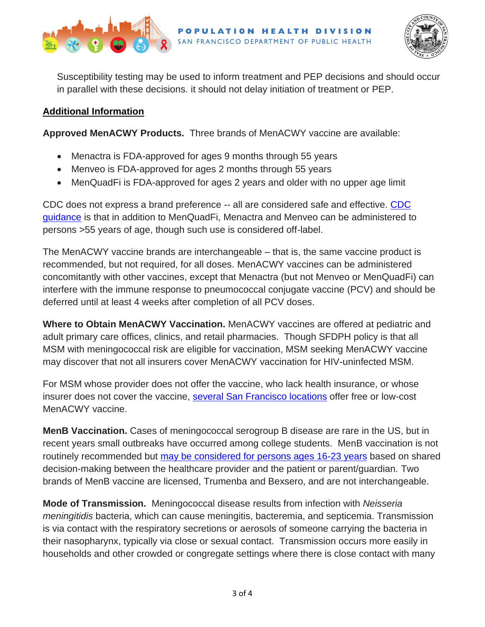



Susceptibility testing may be used to inform treatment and PEP decisions and should occur in parallel with these decisions. it should not delay initiation of treatment or PEP.

### **Additional Information**

**Approved MenACWY Products.** Three brands of MenACWY vaccine are available:

- Menactra is FDA-approved for ages 9 months through 55 years
- Menveo is FDA-approved for ages 2 months through 55 years
- MenQuadFi is FDA-approved for ages 2 years and older with no upper age limit

CDC does not express a brand preference -- all are considered safe and effective. CDC [guidance](https://www.cdc.gov/mmwr/volumes/69/rr/rr6909a1.htm) is that in addition to MenQuadFi, Menactra and Menveo can be administered to persons >55 years of age, though such use is considered off-label.

The MenACWY vaccine brands are interchangeable – that is, the same vaccine product is recommended, but not required, for all doses. MenACWY vaccines can be administered concomitantly with other vaccines, except that Menactra (but not Menveo or MenQuadFi) can interfere with the immune response to pneumococcal conjugate vaccine (PCV) and should be deferred until at least 4 weeks after completion of all PCV doses.

**Where to Obtain MenACWY Vaccination.** MenACWY vaccines are offered at pediatric and adult primary care offices, clinics, and retail pharmacies. Though SFDPH policy is that all MSM with meningococcal risk are eligible for vaccination, MSM seeking MenACWY vaccine may discover that not all insurers cover MenACWY vaccination for HIV-uninfected MSM.

For MSM whose provider does not offer the vaccine, who lack health insurance, or whose insurer does not cover the vaccine, [several San Francisco locations](http://www.sfcdcp.org/meningococcal) offer free or low-cost MenACWY vaccine.

**MenB Vaccination.** Cases of meningococcal serogroup B disease are rare in the US, but in recent years small outbreaks have occurred among college students. MenB vaccination is not routinely recommended but [may be considered for persons ages 16-23 years](https://www.cdc.gov/mmwr/volumes/69/rr/rr6909a1.htm#recommendationsforuseofmeningococcalvaccines) based on shared decision-making between the healthcare provider and the patient or parent/guardian. Two brands of MenB vaccine are licensed, Trumenba and Bexsero, and are not interchangeable.

**Mode of Transmission.** Meningococcal disease results from infection with *Neisseria meningitidis* bacteria, which can cause meningitis, bacteremia, and septicemia. Transmission is via contact with the respiratory secretions or aerosols of someone carrying the bacteria in their nasopharynx, typically via close or sexual contact. Transmission occurs more easily in households and other crowded or congregate settings where there is close contact with many